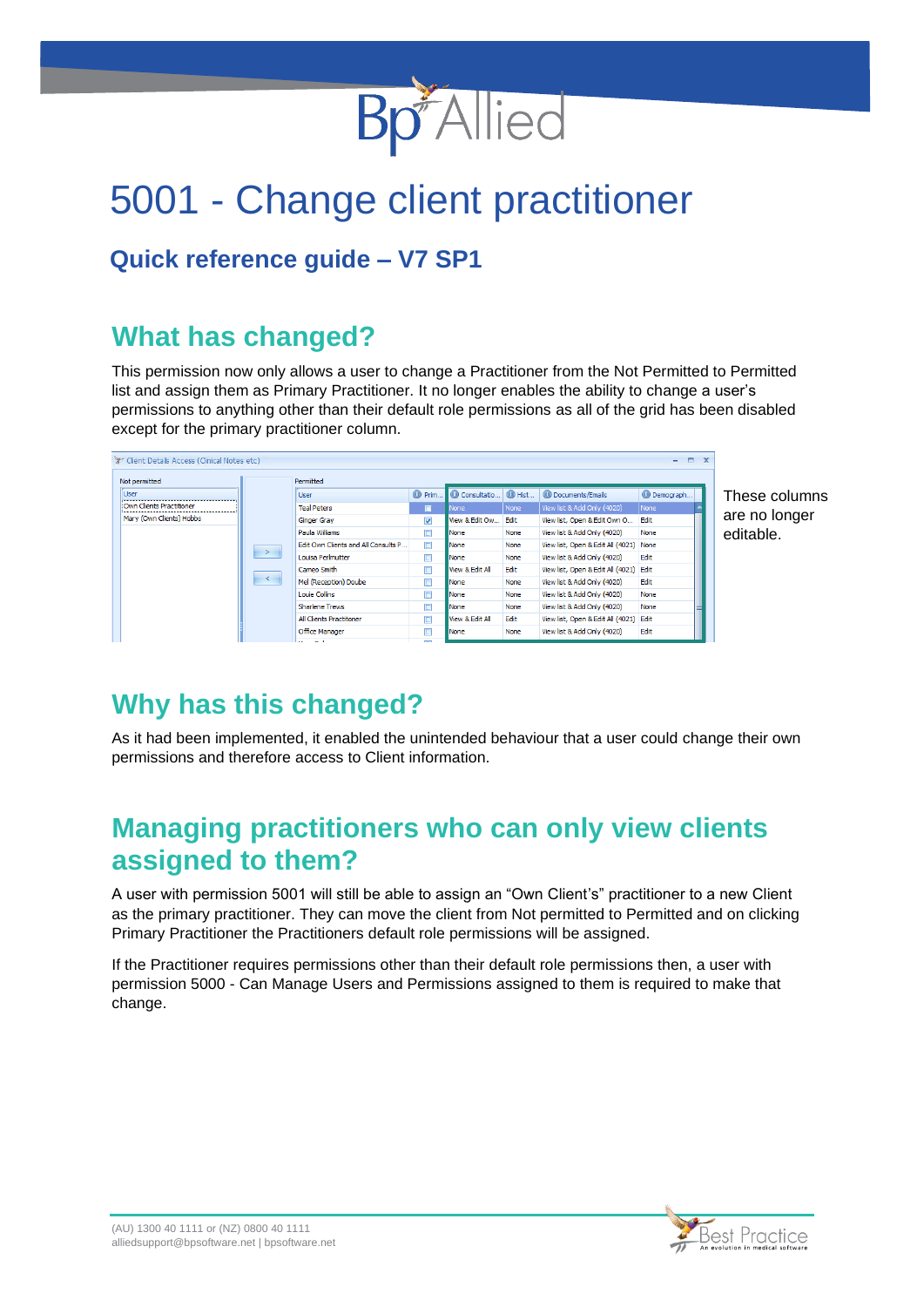

# 5001 - Change client practitioner

#### **Quick reference guide – V7 SP1**

### **What has changed?**

This permission now only allows a user to change a Practitioner from the Not Permitted to Permitted list and assign them as Primary Practitioner. It no longer enables the ability to change a user's permissions to anything other than their default role permissions as all of the grid has been disabled except for the primary practitioner column.

| Client Details Access (Clinical Notes etc) |               |                                     |                          |                 |                 |                                        |                    | $\equiv x$ |
|--------------------------------------------|---------------|-------------------------------------|--------------------------|-----------------|-----------------|----------------------------------------|--------------------|------------|
| Not permitted                              |               | Permitted                           |                          |                 |                 |                                        |                    |            |
| <b>User</b>                                |               | <b>User</b>                         | <sup>O</sup> Prim        | Consultatio.    | $\bigcirc$ Hist | <b>O</b> Documents/Emails              | <b>O</b> Demograph |            |
| Own Clients Practitioner                   |               | <b>Teal Peters</b>                  | $\square$                | None            | None            | View list & Add Only (4020)            | None               |            |
| Mary (Own Clients) Hobbs                   |               | <b>Ginger Gray</b>                  | $\overline{\mathbf{v}}$  | View & Edit Ow  | Edit            | View list, Open & Edit Own O           | Edit               |            |
|                                            |               | Paula Williams                      | □                        | None            | None            | View list & Add Only (4020)            | None               |            |
|                                            |               | Edit Own Clients and All Consults P | $\Box$                   | None            | None            | View list, Open & Edit All (4021) None |                    |            |
| $\prec$                                    | $\rightarrow$ | Louisa Perlmutter                   | $\Box$                   | <b>None</b>     | None            | View list & Add Only (4020)            | Edit               |            |
|                                            |               | Cameo Smith                         | $\Box$                   | View & Edit All | Edit            | View list, Open & Edit All (4021) Edit |                    |            |
|                                            |               | Mel (Reception) Doube               | $\Box$                   | None            | None            | View list & Add Only (4020)            | Edit               |            |
|                                            |               | Louie Collins                       | $\Box$                   | None            | None            | View list & Add Only (4020)            | None               |            |
|                                            |               | <b>Sharlene Trews</b>               | $\Box$                   | None            | None            | View list & Add Only (4020)            | None               |            |
|                                            |               | <b>All Clients Practitoner</b>      | о                        | View & Edit All | Edit            | View list, Open & Edit All (4021) Edit |                    |            |
|                                            |               | <b>Office Manager</b>               | Г                        | None            | None            | View list & Add Only (4020)            | Edit               |            |
|                                            |               | .                                   | $\overline{\phantom{a}}$ |                 |                 |                                        |                    |            |

These columns are no longer editable.

## **Why has this changed?**

As it had been implemented, it enabled the unintended behaviour that a user could change their own permissions and therefore access to Client information.

#### **Managing practitioners who can only view clients assigned to them?**

A user with permission 5001 will still be able to assign an "Own Client's" practitioner to a new Client as the primary practitioner. They can move the client from Not permitted to Permitted and on clicking Primary Practitioner the Practitioners default role permissions will be assigned.

If the Practitioner requires permissions other than their default role permissions then, a user with permission 5000 - Can Manage Users and Permissions assigned to them is required to make that change.